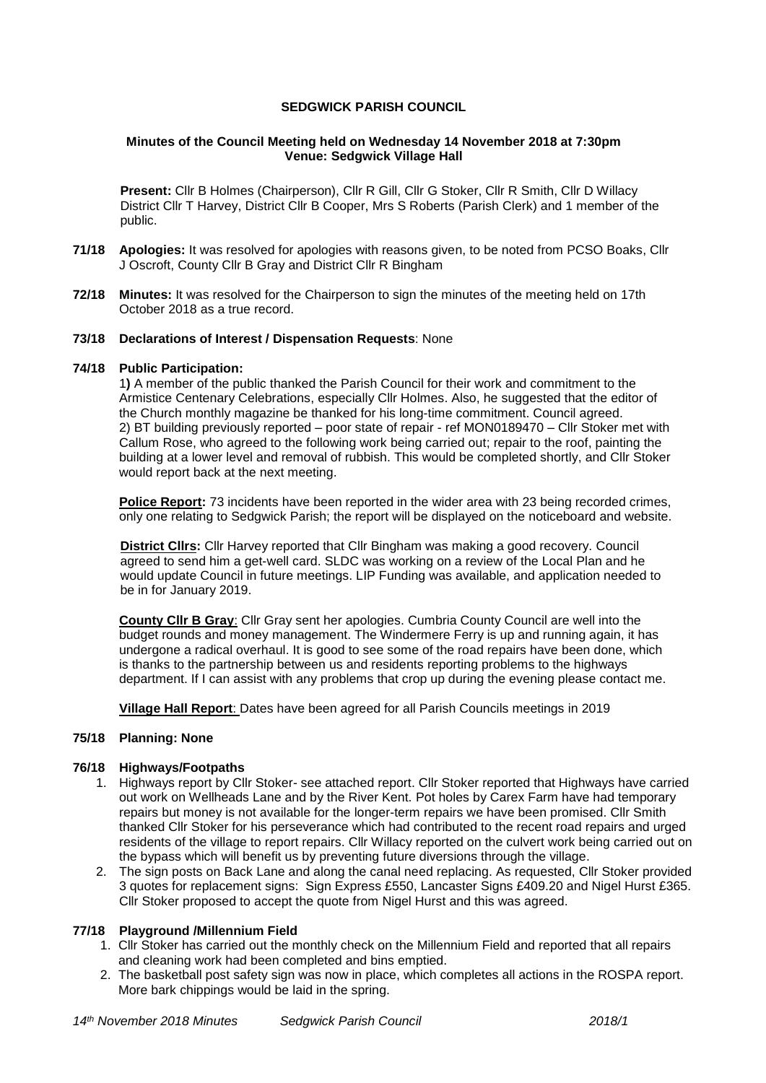## **SEDGWICK PARISH COUNCIL**

### **Minutes of the Council Meeting held on Wednesday 14 November 2018 at 7:30pm Venue: Sedgwick Village Hall**

**Present:** Cllr B Holmes (Chairperson), Cllr R Gill, Cllr G Stoker, Cllr R Smith, Cllr D Willacy District Cllr T Harvey, District Cllr B Cooper, Mrs S Roberts (Parish Clerk) and 1 member of the public.

- **71/18 Apologies:** It was resolved for apologies with reasons given, to be noted from PCSO Boaks, Cllr J Oscroft, County Cllr B Gray and District Cllr R Bingham
- **72/18 Minutes:** It was resolved for the Chairperson to sign the minutes of the meeting held on 17th October 2018 as a true record.

#### **73/18 Declarations of Interest / Dispensation Requests**: None

### **74/18 Public Participation:**

1**)** A member of the public thanked the Parish Council for their work and commitment to the Armistice Centenary Celebrations, especially Cllr Holmes. Also, he suggested that the editor of the Church monthly magazine be thanked for his long-time commitment. Council agreed. 2) BT building previously reported – poor state of repair - ref MON0189470 – Cllr Stoker met with Callum Rose, who agreed to the following work being carried out; repair to the roof, painting the building at a lower level and removal of rubbish. This would be completed shortly, and Cllr Stoker would report back at the next meeting.

**Police Report:** 73 incidents have been reported in the wider area with 23 being recorded crimes, only one relating to Sedgwick Parish; the report will be displayed on the noticeboard and website.

**District Cllrs:** Cllr Harvey reported that Cllr Bingham was making a good recovery. Council agreed to send him a get-well card. SLDC was working on a review of the Local Plan and he would update Council in future meetings. LIP Funding was available, and application needed to be in for January 2019.

**County Cllr B Gray**: Cllr Gray sent her apologies. Cumbria County Council are well into the budget rounds and money management. The Windermere Ferry is up and running again, it has undergone a radical overhaul. It is good to see some of the road repairs have been done, which is thanks to the partnership between us and residents reporting problems to the highways department. If I can assist with any problems that crop up during the evening please contact me.

**Village Hall Report**: Dates have been agreed for all Parish Councils meetings in 2019

# **75/18 Planning: None**

#### **76/18 Highways/Footpaths**

- 1. Highways report by Cllr Stoker- see attached report. Cllr Stoker reported that Highways have carried out work on Wellheads Lane and by the River Kent. Pot holes by Carex Farm have had temporary repairs but money is not available for the longer-term repairs we have been promised. Cllr Smith thanked Cllr Stoker for his perseverance which had contributed to the recent road repairs and urged residents of the village to report repairs. Cllr Willacy reported on the culvert work being carried out on the bypass which will benefit us by preventing future diversions through the village.
- 2. The sign posts on Back Lane and along the canal need replacing. As requested, Cllr Stoker provided 3 quotes for replacement signs: Sign Express £550, Lancaster Signs £409.20 and Nigel Hurst £365. Cllr Stoker proposed to accept the quote from Nigel Hurst and this was agreed.

#### **77/18 Playground /Millennium Field**

- 1. Cllr Stoker has carried out the monthly check on the Millennium Field and reported that all repairs and cleaning work had been completed and bins emptied.
- 2. The basketball post safety sign was now in place, which completes all actions in the ROSPA report. More bark chippings would be laid in the spring.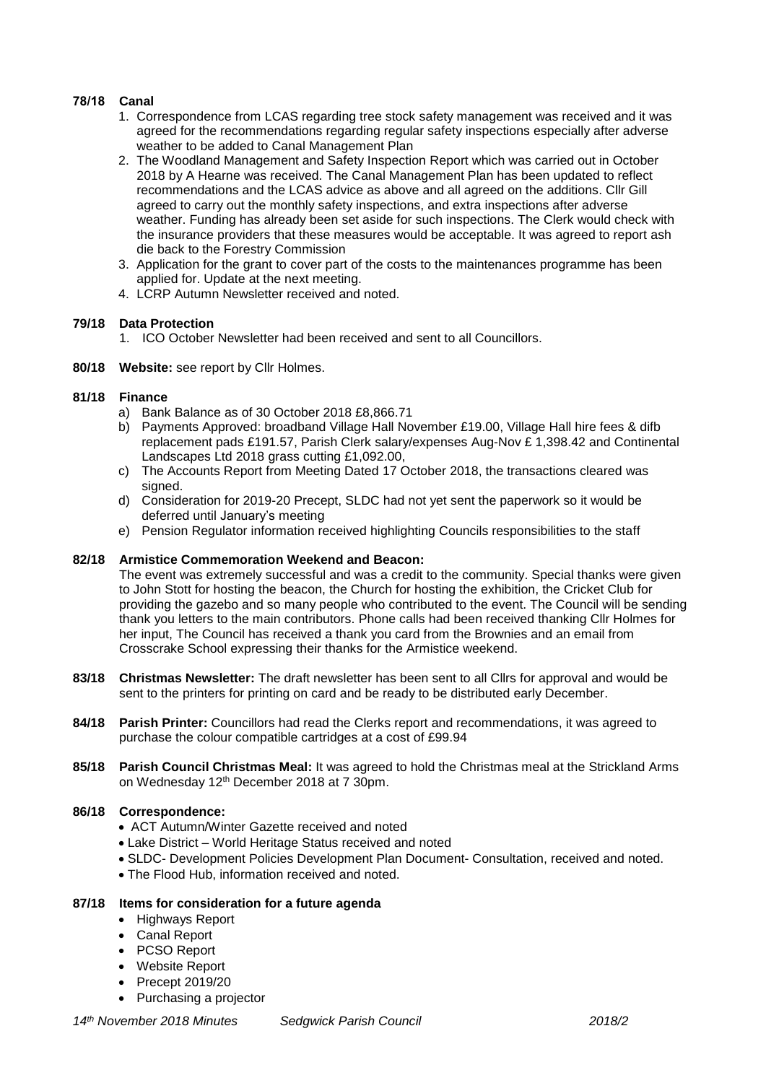# **78/18 Canal**

- 1. Correspondence from LCAS regarding tree stock safety management was received and it was agreed for the recommendations regarding regular safety inspections especially after adverse weather to be added to Canal Management Plan
- 2. The Woodland Management and Safety Inspection Report which was carried out in October 2018 by A Hearne was received. The Canal Management Plan has been updated to reflect recommendations and the LCAS advice as above and all agreed on the additions. Cllr Gill agreed to carry out the monthly safety inspections, and extra inspections after adverse weather. Funding has already been set aside for such inspections. The Clerk would check with the insurance providers that these measures would be acceptable. It was agreed to report ash die back to the Forestry Commission
- 3. Application for the grant to cover part of the costs to the maintenances programme has been applied for. Update at the next meeting.
- 4. LCRP Autumn Newsletter received and noted.

### **79/18 Data Protection**

- 1. ICO October Newsletter had been received and sent to all Councillors.
- **80/18 Website:** see report by Cllr Holmes.

### **81/18 Finance**

- a) Bank Balance as of 30 October 2018 £8,866.71
- b) Payments Approved: broadband Village Hall November £19.00, Village Hall hire fees & difb replacement pads £191.57, Parish Clerk salary/expenses Aug-Nov £ 1,398.42 and Continental Landscapes Ltd 2018 grass cutting £1,092.00,
- c) The Accounts Report from Meeting Dated 17 October 2018, the transactions cleared was signed.
- d) Consideration for 2019-20 Precept, SLDC had not yet sent the paperwork so it would be deferred until January's meeting
- e) Pension Regulator information received highlighting Councils responsibilities to the staff

## **82/18 Armistice Commemoration Weekend and Beacon:**

The event was extremely successful and was a credit to the community. Special thanks were given to John Stott for hosting the beacon, the Church for hosting the exhibition, the Cricket Club for providing the gazebo and so many people who contributed to the event. The Council will be sending thank you letters to the main contributors. Phone calls had been received thanking Cllr Holmes for her input, The Council has received a thank you card from the Brownies and an email from Crosscrake School expressing their thanks for the Armistice weekend.

- **83/18 Christmas Newsletter:** The draft newsletter has been sent to all Cllrs for approval and would be sent to the printers for printing on card and be ready to be distributed early December.
- **84/18 Parish Printer:** Councillors had read the Clerks report and recommendations, it was agreed to purchase the colour compatible cartridges at a cost of £99.94
- **85/18 Parish Council Christmas Meal:** It was agreed to hold the Christmas meal at the Strickland Arms on Wednesday 12th December 2018 at 7 30pm.

## **86/18 Correspondence:**

- ACT Autumn/Winter Gazette received and noted
- Lake District World Heritage Status received and noted
- SLDC- Development Policies Development Plan Document- Consultation, received and noted.
- The Flood Hub, information received and noted.

#### **87/18 Items for consideration for a future agenda**

- Highways Report
- Canal Report
- PCSO Report
- Website Report
- Precept 2019/20
- Purchasing a projector